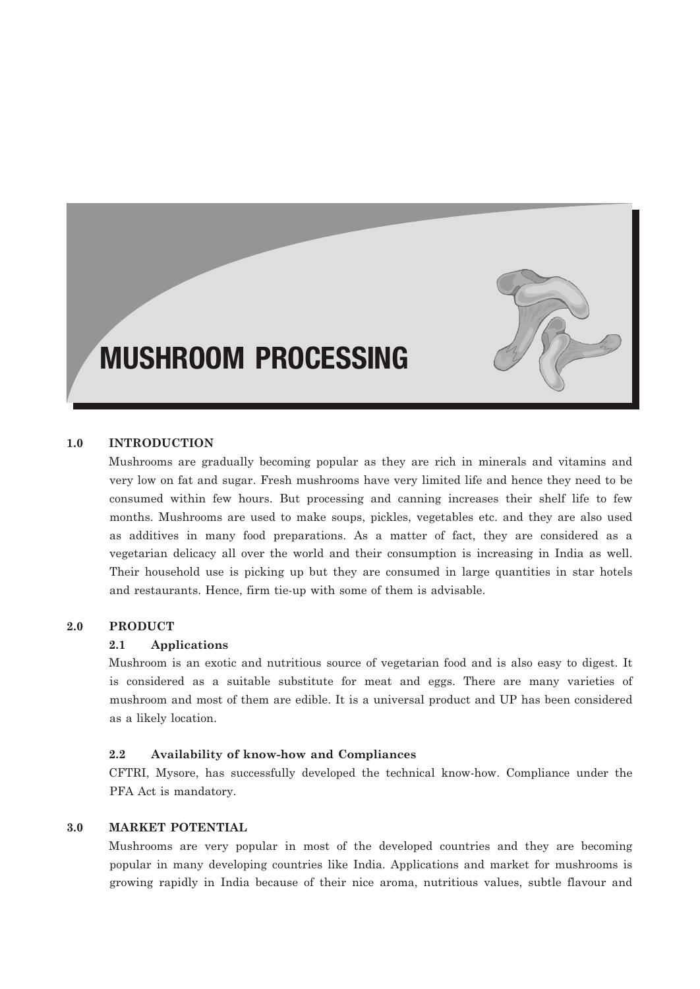# MUSHROOM PROCESSING



Mushrooms are gradually becoming popular as they are rich in minerals and vitamins and very low on fat and sugar. Fresh mushrooms have very limited life and hence they need to be consumed within few hours. But processing and canning increases their shelf life to few months. Mushrooms are used to make soups, pickles, vegetables etc. and they are also used as additives in many food preparations. As a matter of fact, they are considered as a vegetarian delicacy all over the world and their consumption is increasing in India as well. Their household use is picking up but they are consumed in large quantities in star hotels and restaurants. Hence, firm tie-up with some of them is advisable.

#### **2.0 PRODUCT**

#### **2.1 Applications**

Mushroom is an exotic and nutritious source of vegetarian food and is also easy to digest. It is considered as a suitable substitute for meat and eggs. There are many varieties of mushroom and most of them are edible. It is a universal product and UP has been considered as a likely location.

#### **2.2 Availability of know-how and Compliances**

CFTRI, Mysore, has successfully developed the technical know-how. Compliance under the PFA Act is mandatory.

#### **3.0 MARKET POTENTIAL**

Mushrooms are very popular in most of the developed countries and they are becoming popular in many developing countries like India. Applications and market for mushrooms is growing rapidly in India because of their nice aroma, nutritious values, subtle flavour and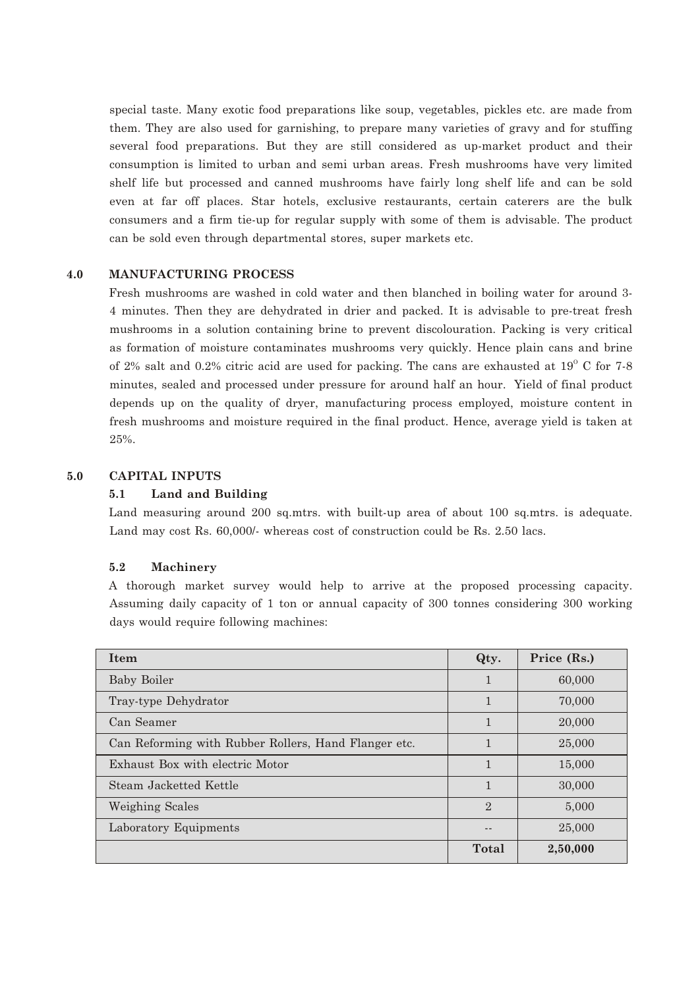special taste. Many exotic food preparations like soup, vegetables, pickles etc. are made from them. They are also used for garnishing, to prepare many varieties of gravy and for stuffing several food preparations. But they are still considered as up-market product and their consumption is limited to urban and semi urban areas. Fresh mushrooms have very limited shelf life but processed and canned mushrooms have fairly long shelf life and can be sold even at far off places. Star hotels, exclusive restaurants, certain caterers are the bulk consumers and a firm tie-up for regular supply with some of them is advisable. The product can be sold even through departmental stores, super markets etc.

#### **4.0 MANUFACTURING PROCESS**

Fresh mushrooms are washed in cold water and then blanched in boiling water for around 3- 4 minutes. Then they are dehydrated in drier and packed. It is advisable to pre-treat fresh mushrooms in a solution containing brine to prevent discolouration. Packing is very critical as formation of moisture contaminates mushrooms very quickly. Hence plain cans and brine of 2% salt and 0.2% citric acid are used for packing. The cans are exhausted at  $19^{\circ}$  C for 7-8 minutes, sealed and processed under pressure for around half an hour. Yield of final product depends up on the quality of dryer, manufacturing process employed, moisture content in fresh mushrooms and moisture required in the final product. Hence, average yield is taken at 25%.

# **5.0 CAPITAL INPUTS**

#### **5.1 Land and Building**

Land measuring around 200 sq.mtrs. with built-up area of about 100 sq.mtrs. is adequate. Land may cost Rs. 60,000/- whereas cost of construction could be Rs. 2.50 lacs.

#### **5.2 Machinery**

A thorough market survey would help to arrive at the proposed processing capacity. Assuming daily capacity of 1 ton or annual capacity of 300 tonnes considering 300 working days would require following machines:

| Item                                                 | Qty.           | Price (Rs.) |
|------------------------------------------------------|----------------|-------------|
| <b>Baby Boiler</b>                                   |                | 60,000      |
| Tray-type Dehydrator                                 | 1              | 70,000      |
| Can Seamer                                           | 1              | 20,000      |
| Can Reforming with Rubber Rollers, Hand Flanger etc. | 1              | 25,000      |
| Exhaust Box with electric Motor                      | 1              | 15,000      |
| Steam Jacketted Kettle                               | 1              | 30,000      |
| Weighing Scales                                      | $\mathfrak{D}$ | 5,000       |
| Laboratory Equipments                                |                | 25,000      |
|                                                      | Total          | 2,50,000    |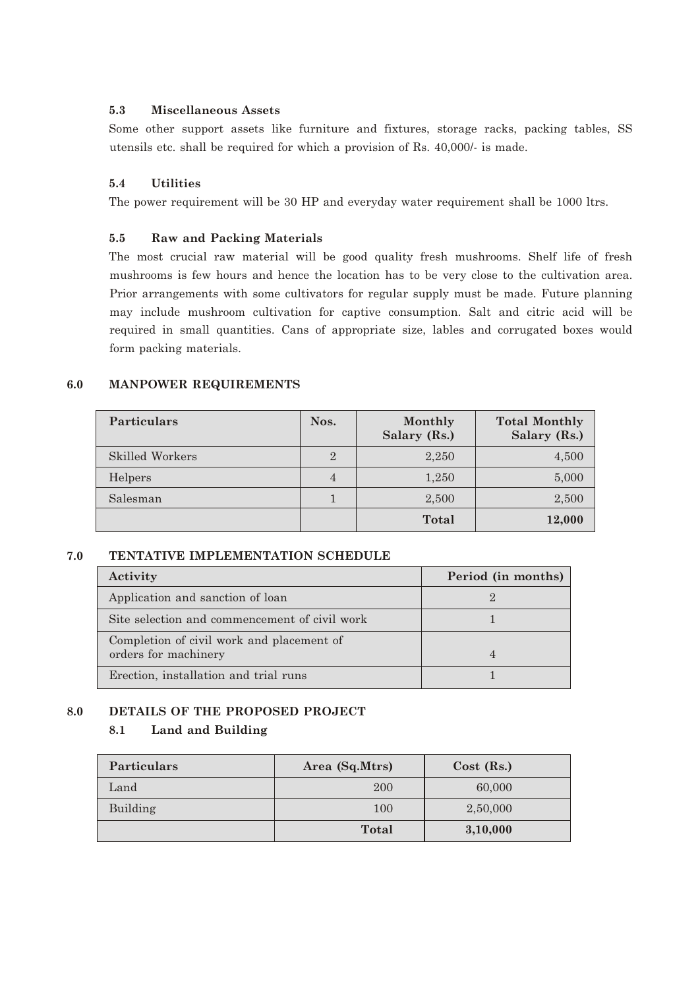## **5.3 Miscellaneous Assets**

Some other support assets like furniture and fixtures, storage racks, packing tables, SS utensils etc. shall be required for which a provision of Rs. 40,000/- is made.

## **5.4 Utilities**

The power requirement will be 30 HP and everyday water requirement shall be 1000 ltrs.

#### **5.5 Raw and Packing Materials**

The most crucial raw material will be good quality fresh mushrooms. Shelf life of fresh mushrooms is few hours and hence the location has to be very close to the cultivation area. Prior arrangements with some cultivators for regular supply must be made. Future planning may include mushroom cultivation for captive consumption. Salt and citric acid will be required in small quantities. Cans of appropriate size, lables and corrugated boxes would form packing materials.

#### **6.0 MANPOWER REQUIREMENTS**

| <b>Particulars</b> | Nos.           | Monthly<br>Salary (Rs.) | <b>Total Monthly</b><br>Salary (Rs.) |
|--------------------|----------------|-------------------------|--------------------------------------|
| Skilled Workers    | $\overline{2}$ | 2,250                   | 4,500                                |
| Helpers            | $\overline{4}$ | 1,250                   | 5,000                                |
| Salesman           |                | 2,500                   | 2,500                                |
|                    |                | <b>Total</b>            | 12,000                               |

#### **7.0 TENTATIVE IMPLEMENTATION SCHEDULE**

| Activity                                      | Period (in months) |
|-----------------------------------------------|--------------------|
| Application and sanction of loan              |                    |
| Site selection and commencement of civil work |                    |
| Completion of civil work and placement of     |                    |
| orders for machinery                          |                    |
| Erection, installation and trial runs         |                    |

## **8.0 DETAILS OF THE PROPOSED PROJECT**

## **8.1 Land and Building**

| <b>Particulars</b> | Area (Sq.Mtrs) | $Cost$ (Rs.) |
|--------------------|----------------|--------------|
| Land               | 200            | 60,000       |
| Building           | 100            | 2,50,000     |
|                    | <b>Total</b>   | 3,10,000     |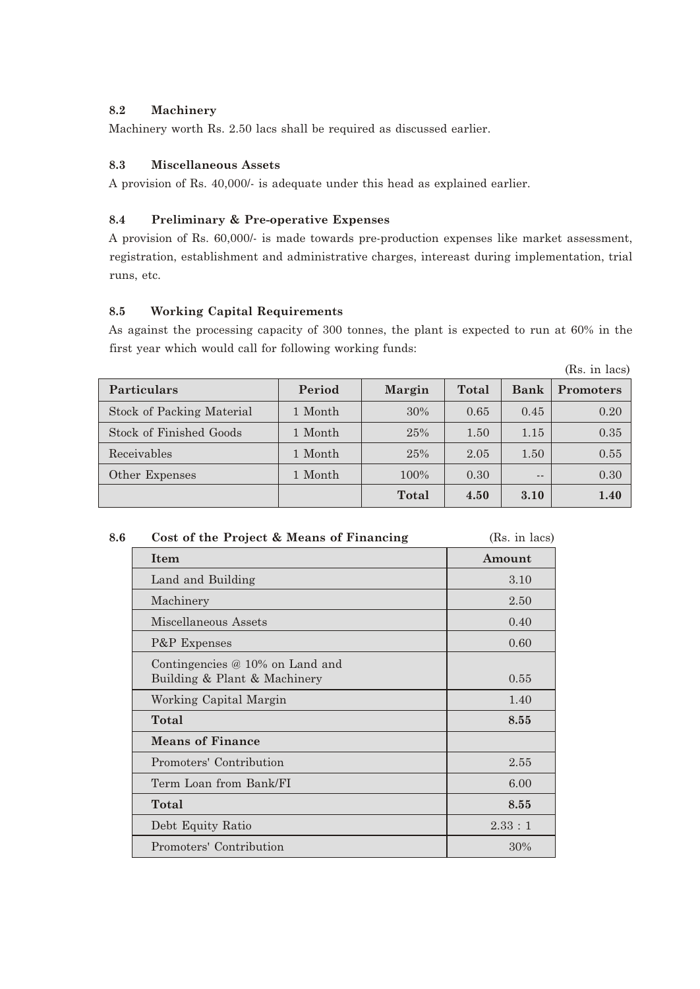# **8.2 Machinery**

Machinery worth Rs. 2.50 lacs shall be required as discussed earlier.

# **8.3 Miscellaneous Assets**

A provision of Rs. 40,000/- is adequate under this head as explained earlier.

# **8.4 Preliminary & Pre-operative Expenses**

A provision of Rs. 60,000/- is made towards pre-production expenses like market assessment, registration, establishment and administrative charges, intereast during implementation, trial runs, etc.

# **8.5 Working Capital Requirements**

As against the processing capacity of 300 tonnes, the plant is expected to run at 60% in the first year which would call for following working funds:

|                           |         |               |       |       | (Rs. in lacs)    |
|---------------------------|---------|---------------|-------|-------|------------------|
| Particulars               | Period  | <b>Margin</b> | Total | Bank  | <b>Promoters</b> |
| Stock of Packing Material | 1 Month | 30%           | 0.65  | 0.45  | 0.20             |
| Stock of Finished Goods   | 1 Month | 25%           | 1.50  | 1.15  | 0.35             |
| Receivables               | 1 Month | 25%           | 2.05  | 1.50  | 0.55             |
| Other Expenses            | 1 Month | 100%          | 0.30  | $- -$ | 0.30             |
|                           |         | Total         | 4.50  | 3.10  | 1.40             |

| 8.6 | Cost of the Project & Means of Financing                          | (Rs. in lacs) |
|-----|-------------------------------------------------------------------|---------------|
|     | Item                                                              | Amount        |
|     | Land and Building                                                 | 3.10          |
|     | Machinery                                                         | 2.50          |
|     | Miscellaneous Assets                                              | 0.40          |
|     | P&P Expenses                                                      | 0.60          |
|     | Contingencies $@10\%$ on Land and<br>Building & Plant & Machinery | 0.55          |
|     | Working Capital Margin                                            | 1.40          |
|     | Total                                                             | 8.55          |
|     | <b>Means of Finance</b>                                           |               |
|     | Promoters' Contribution                                           | 2.55          |
|     | Term Loan from Bank/FI                                            | 6.00          |
|     | Total                                                             | 8.55          |
|     | Debt Equity Ratio                                                 | 2.33:1        |
|     | Promoters' Contribution                                           | 30%           |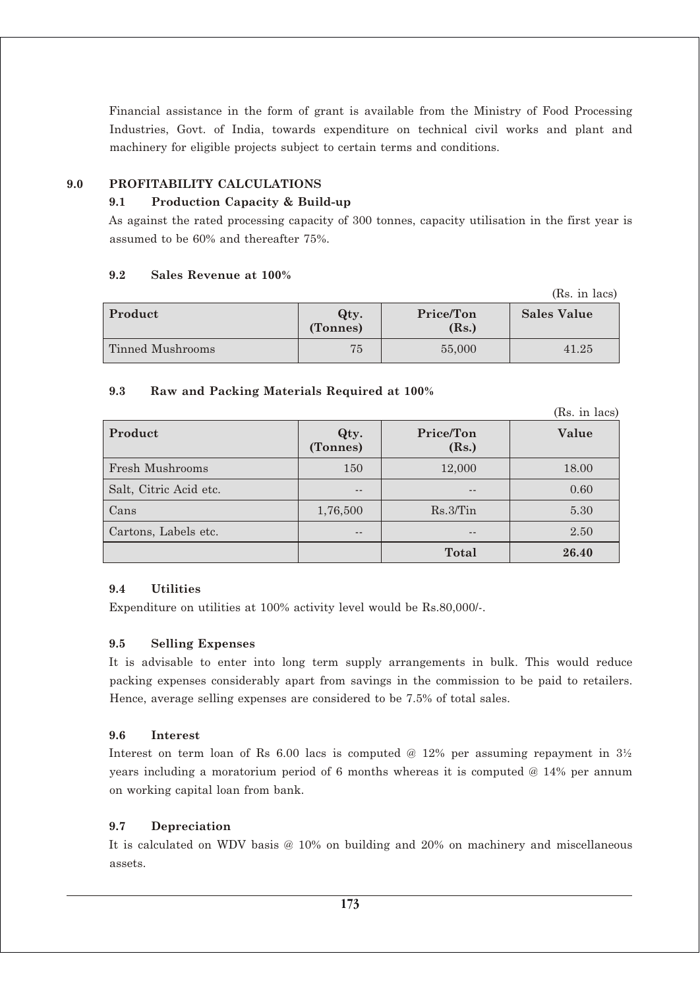Financial assistance in the form of grant is available from the Ministry of Food Processing Industries, Govt. of India, towards expenditure on technical civil works and plant and machinery for eligible projects subject to certain terms and conditions.

# **9.0 PROFITABILITY CALCULATIONS**

# **9.1 Production Capacity & Build-up**

As against the rated processing capacity of 300 tonnes, capacity utilisation in the first year is assumed to be 60% and thereafter 75%.

# **9.2 Sales Revenue at 100%**

|                  |                  |                    | (Rs. in lacs)      |
|------------------|------------------|--------------------|--------------------|
| Product          | Qty.<br>(Tonnes) | Price/Ton<br>(Rs.) | <b>Sales Value</b> |
| Tinned Mushrooms | 75               | 55,000             | 41.25              |

# **9.3 Raw and Packing Materials Required at 100%**

|                        |                  |                    | (Rs. in lacs) |
|------------------------|------------------|--------------------|---------------|
| Product                | Qty.<br>(Tonnes) | Price/Ton<br>(Rs.) | Value         |
| <b>Fresh Mushrooms</b> | 150              | 12,000             | 18.00         |
| Salt, Citric Acid etc. | --               | --                 | 0.60          |
| Cans                   | 1,76,500         | $Rs.3/T$ in        | 5.30          |
| Cartons, Labels etc.   | $- -$            | $- -$              | 2.50          |
|                        |                  | <b>Total</b>       | 26.40         |

# **9.4 Utilities**

Expenditure on utilities at 100% activity level would be Rs.80,000/-.

# **9.5 Selling Expenses**

It is advisable to enter into long term supply arrangements in bulk. This would reduce packing expenses considerably apart from savings in the commission to be paid to retailers. Hence, average selling expenses are considered to be 7.5% of total sales.

# **9.6 Interest**

Interest on term loan of Rs 6.00 lacs is computed @ 12% per assuming repayment in  $3\frac{1}{2}$ years including a moratorium period of 6 months whereas it is computed @ 14% per annum on working capital loan from bank.

# **9.7 Depreciation**

It is calculated on WDV basis @ 10% on building and 20% on machinery and miscellaneous assets.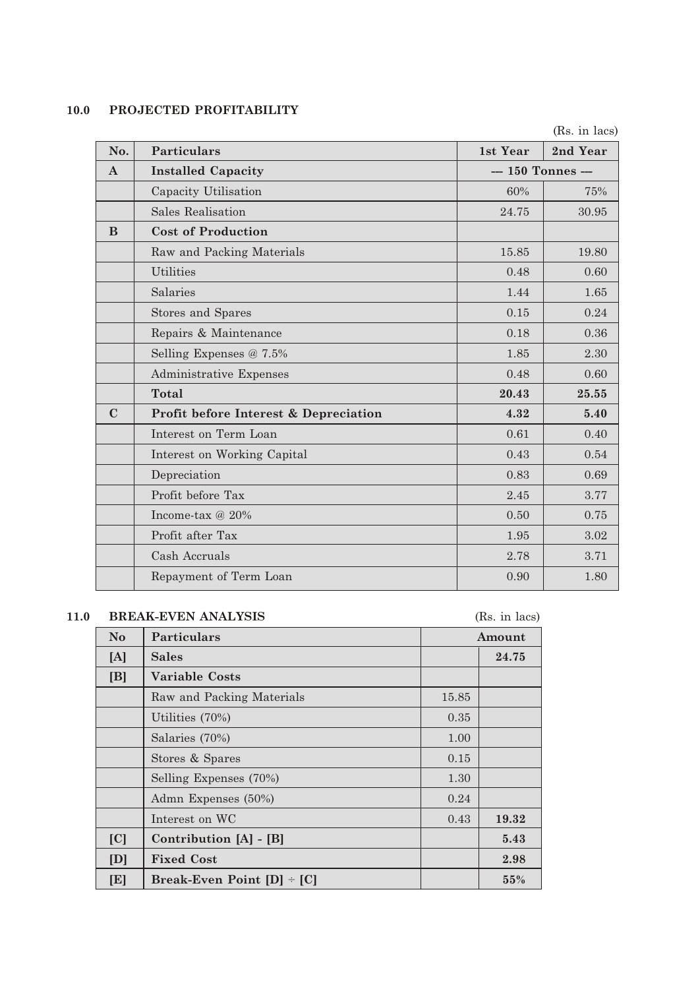# **10.0 PROJECTED PROFITABILITY**

|              |                                       |                    | (Rs. in lacs) |
|--------------|---------------------------------------|--------------------|---------------|
| No.          | <b>Particulars</b>                    | 1st Year           | 2nd Year      |
| $\mathbf{A}$ | <b>Installed Capacity</b>             | --- 150 Tonnes --- |               |
|              | Capacity Utilisation                  | 60%                | 75%           |
|              | <b>Sales Realisation</b>              | 24.75              | 30.95         |
| B            | <b>Cost of Production</b>             |                    |               |
|              | Raw and Packing Materials             | 15.85              | 19.80         |
|              | <b>Utilities</b>                      | 0.48               | 0.60          |
|              | Salaries                              | 1.44               | 1.65          |
|              | Stores and Spares                     | 0.15               | 0.24          |
|              | Repairs & Maintenance                 | 0.18               | 0.36          |
|              | Selling Expenses $@ 7.5\%$            | 1.85               | 2.30          |
|              | Administrative Expenses               | 0.48               | 0.60          |
|              | <b>Total</b>                          | 20.43              | 25.55         |
| $\mathbf C$  | Profit before Interest & Depreciation | 4.32               | 5.40          |
|              | Interest on Term Loan                 | 0.61               | 0.40          |
|              | Interest on Working Capital           | 0.43               | 0.54          |
|              | Depreciation                          | 0.83               | 0.69          |
|              | Profit before Tax                     | 2.45               | 3.77          |
|              | Income-tax $@20\%$                    | 0.50               | 0.75          |
|              | Profit after Tax                      | 1.95               | 3.02          |
|              | Cash Accruals                         | 2.78               | 3.71          |
|              | Repayment of Term Loan                | 0.90               | 1.80          |

# **11.0 BREAK-EVEN ANALYSIS** (Rs. in lacs)

| $\bf No$ | Particulars                    |       | Amount |
|----------|--------------------------------|-------|--------|
| [A]      | <b>Sales</b>                   |       | 24.75  |
| [B]      | <b>Variable Costs</b>          |       |        |
|          | Raw and Packing Materials      | 15.85 |        |
|          | Utilities (70%)                | 0.35  |        |
|          | Salaries (70%)                 | 1.00  |        |
|          | Stores & Spares                | 0.15  |        |
|          | Selling Expenses (70%)         | 1.30  |        |
|          | Admn Expenses (50%)            | 0.24  |        |
|          | Interest on WC                 | 0.43  | 19.32  |
| [C]      | Contribution [A] - [B]         |       | 5.43   |
| [D]      | <b>Fixed Cost</b>              |       | 2.98   |
| [E]      | Break-Even Point $[D]$ + $[C]$ |       | 55%    |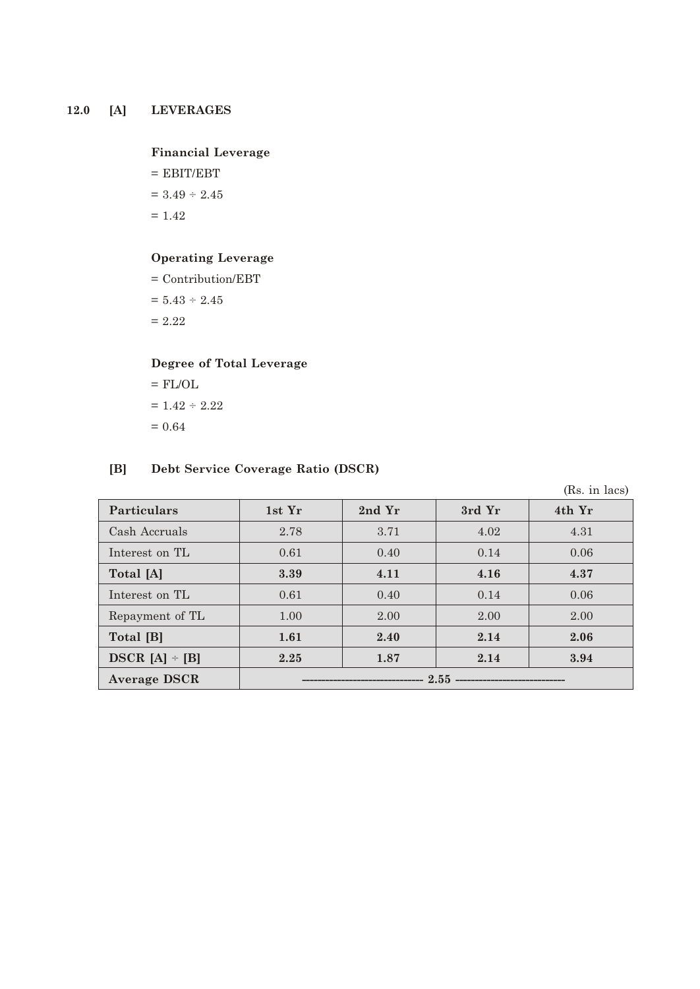# **12.0 [A] LEVERAGES**

## **Financial Leverage**

- $=$  EBIT/EBT  $= 3.49 \div 2.45$
- $= 1.42$

# **Operating Leverage**

= Contribution/EBT

 $= 5.43 \div 2.45$ 

 $= 2.22$ 

# **Degree of Total Leverage**

 $=$  FL/OL  $\,$  $= 1.42 \div 2.22$  $= 0.64$ 

## **[B] Debt Service Coverage Ratio (DSCR)**

|                     |        |        |        | (Rs. in lacs) |
|---------------------|--------|--------|--------|---------------|
| <b>Particulars</b>  | 1st Yr | 2nd Yr | 3rd Yr | 4th Yr        |
| Cash Accruals       | 2.78   | 3.71   | 4.02   | 4.31          |
| Interest on TL      | 0.61   | 0.40   | 0.14   | 0.06          |
| Total [A]           | 3.39   | 4.11   | 4.16   | 4.37          |
| Interest on TL      | 0.61   | 0.40   | 0.14   | 0.06          |
| Repayment of TL     | 1.00   | 2.00   | 2.00   | 2.00          |
| Total [B]           | 1.61   | 2.40   | 2.14   | 2.06          |
| DSCR $[A]$ + $[B]$  | 2.25   | 1.87   | 2.14   | 3.94          |
| <b>Average DSCR</b> |        |        |        |               |